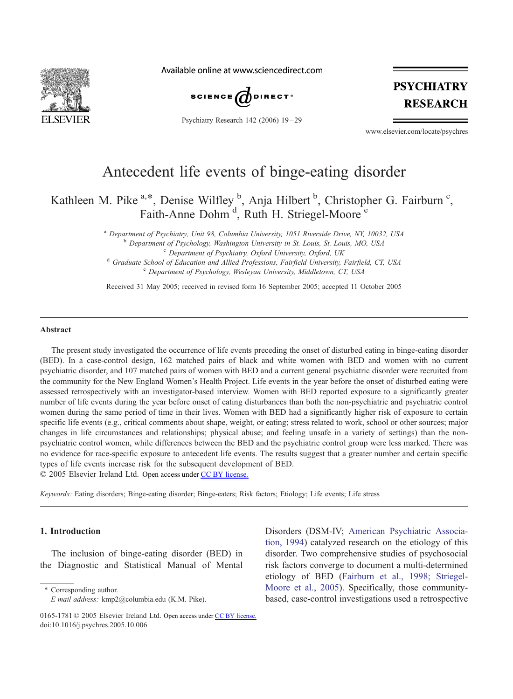

Available online at www.sciencedirect.com



Psychiatry Research 142 (2006) 19 – 29

## **PSYCHIATRY RESEARCH**

www.elsevier.com/locate/psychres

## Antecedent life events of binge-eating disorder

Kathleen M. Pike <sup>a,\*</sup>, Denise Wilfley <sup>b</sup>, Anja Hilbert <sup>b</sup>, Christopher G. Fairburn <sup>c</sup>, Faith-Anne Dohm<sup>d</sup>, Ruth H. Striegel-Moore<sup>e</sup>

> a Department of Psychiatry, Unit 98, Columbia University, 1051 Riverside Drive, NY, 10032, USA<br>
> b Department of Psychology, Washington University in St. Louis, St. Louis, MO, USA<br>
> c Department of Psychiatry, Oxford Univers <sup>e</sup> Department of Psychology, Wesleyan University, Middletown, CT, USA

Received 31 May 2005; received in revised form 16 September 2005; accepted 11 October 2005

#### Abstract

The present study investigated the occurrence of life events preceding the onset of disturbed eating in binge-eating disorder (BED). In a case-control design, 162 matched pairs of black and white women with BED and women with no current psychiatric disorder, and 107 matched pairs of women with BED and a current general psychiatric disorder were recruited from the community for the New England Women's Health Project. Life events in the year before the onset of disturbed eating were assessed retrospectively with an investigator-based interview. Women with BED reported exposure to a significantly greater number of life events during the year before onset of eating disturbances than both the non-psychiatric and psychiatric control women during the same period of time in their lives. Women with BED had a significantly higher risk of exposure to certain specific life events (e.g., critical comments about shape, weight, or eating; stress related to work, school or other sources; major changes in life circumstances and relationships; physical abuse; and feeling unsafe in a variety of settings) than the nonpsychiatric control women, while differences between the BED and the psychiatric control group were less marked. There was no evidence for race-specific exposure to antecedent life events. The results suggest that a greater number and certain specific types of life events increase risk for the subsequent development of BED.

 $© 2005 Elsevier Ireland Ltd. Open access under CC BY license.$  $© 2005 Elsevier Ireland Ltd. Open access under CC BY license.$ 

Keywords: Eating disorders; Binge-eating disorder; Binge-eaters; Risk factors; Etiology; Life events; Life stress

#### 1. Introduction

The inclusion of binge-eating disorder (BED) in the Diagnostic and Statistical Manual of Mental

\* Corresponding author. E-mail address: kmp2@columbia.edu (K.M. Pike).

Disorders (DSM-IV; [American Psychiatric Associa](#page--1-0)tion, 1994) catalyzed research on the etiology of this disorder. Two comprehensive studies of psychosocial risk factors converge to document a multi-determined etiology of BED ([Fairburn et al., 1998; Striegel-](#page--1-0)Moore et al., 2005). Specifically, those communitybased, case-control investigations used a retrospective

<sup>0165-1781 © 2005</sup> Elsevier Ireland Ltd. Open access under [CC BY license.](http://creativecommons.org/licenses/by/3.0/) doi:10.1016/j.psychres.2005.10.006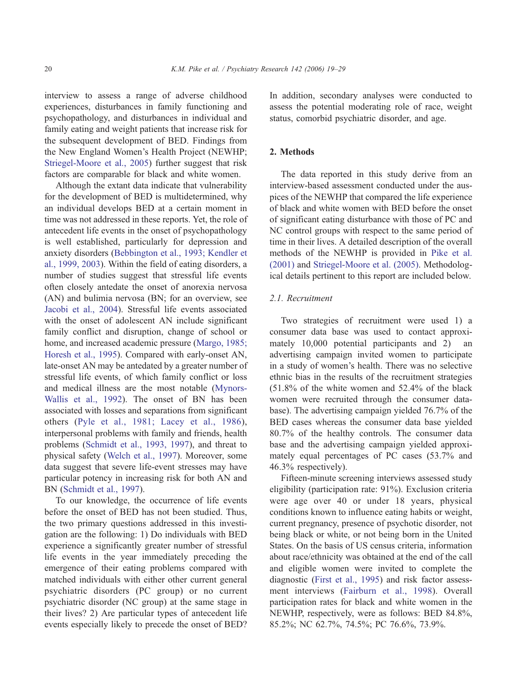interview to assess a range of adverse childhood experiences, disturbances in family functioning and psychopathology, and disturbances in individual and family eating and weight patients that increase risk for the subsequent development of BED. Findings from the New England Women's Health Project (NEWHP; [Striegel-Moore et al., 2005\)](#page--1-0) further suggest that risk factors are comparable for black and white women.

Although the extant data indicate that vulnerability for the development of BED is multidetermined, why an individual develops BED at a certain moment in time was not addressed in these reports. Yet, the role of antecedent life events in the onset of psychopathology is well established, particularly for depression and anxiety disorders ([Bebbington et al., 1993; Kendler et](#page--1-0) al., 1999, 2003). Within the field of eating disorders, a number of studies suggest that stressful life events often closely antedate the onset of anorexia nervosa (AN) and bulimia nervosa (BN; for an overview, see [Jacobi et al., 2004\)](#page--1-0). Stressful life events associated with the onset of adolescent AN include significant family conflict and disruption, change of school or home, and increased academic pressure ([Margo, 1985;](#page--1-0) Horesh et al., 1995). Compared with early-onset AN, late-onset AN may be antedated by a greater number of stressful life events, of which family conflict or loss and medical illness are the most notable ([Mynors-](#page--1-0)Wallis et al., 1992). The onset of BN has been associated with losses and separations from significant others ([Pyle et al., 1981; Lacey et al., 1986\)](#page--1-0), interpersonal problems with family and friends, health problems ([Schmidt et al., 1993, 1997\)](#page--1-0), and threat to physical safety ([Welch et al., 1997\)](#page--1-0). Moreover, some data suggest that severe life-event stresses may have particular potency in increasing risk for both AN and BN [\(Schmidt et al., 1997\)](#page--1-0).

To our knowledge, the occurrence of life events before the onset of BED has not been studied. Thus, the two primary questions addressed in this investigation are the following: 1) Do individuals with BED experience a significantly greater number of stressful life events in the year immediately preceding the emergence of their eating problems compared with matched individuals with either other current general psychiatric disorders (PC group) or no current psychiatric disorder (NC group) at the same stage in their lives? 2) Are particular types of antecedent life events especially likely to precede the onset of BED? In addition, secondary analyses were conducted to assess the potential moderating role of race, weight status, comorbid psychiatric disorder, and age.

### 2. Methods

The data reported in this study derive from an interview-based assessment conducted under the auspices of the NEWHP that compared the life experience of black and white women with BED before the onset of significant eating disturbance with those of PC and NC control groups with respect to the same period of time in their lives. A detailed description of the overall methods of the NEWHP is provided in [Pike et al.](#page--1-0) (2001) and [Striegel-Moore et al. \(2005\).](#page--1-0) Methodological details pertinent to this report are included below.

#### 2.1. Recruitment

Two strategies of recruitment were used 1) a consumer data base was used to contact approximately 10,000 potential participants and 2) an advertising campaign invited women to participate in a study of women's health. There was no selective ethnic bias in the results of the recruitment strategies (51.8% of the white women and 52.4% of the black women were recruited through the consumer database). The advertising campaign yielded 76.7% of the BED cases whereas the consumer data base yielded 80.7% of the healthy controls. The consumer data base and the advertising campaign yielded approximately equal percentages of PC cases (53.7% and 46.3% respectively).

Fifteen-minute screening interviews assessed study eligibility (participation rate: 91%). Exclusion criteria were age over 40 or under 18 years, physical conditions known to influence eating habits or weight, current pregnancy, presence of psychotic disorder, not being black or white, or not being born in the United States. On the basis of US census criteria, information about race/ethnicity was obtained at the end of the call and eligible women were invited to complete the diagnostic ([First et al., 1995\)](#page--1-0) and risk factor assessment interviews ([Fairburn et al., 1998\)](#page--1-0). Overall participation rates for black and white women in the NEWHP, respectively, were as follows: BED 84.8%, 85.2%; NC 62.7%, 74.5%; PC 76.6%, 73.9%.